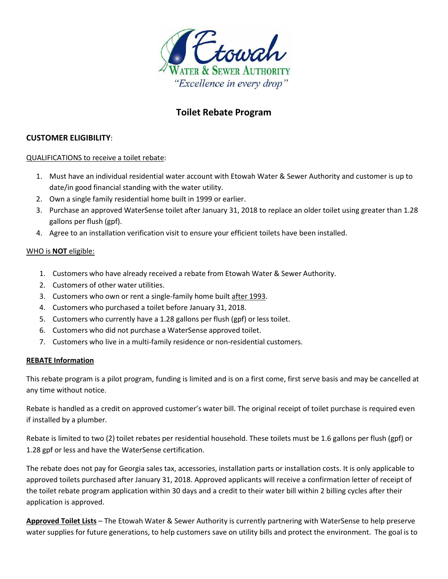

# **Toilet Rebate Program**

### **CUSTOMER ELIGIBILITY**:

#### QUALIFICATIONS to receive a toilet rebate:

- 1. Must have an individual residential water account with Etowah Water & Sewer Authority and customer is up to date/in good financial standing with the water utility.
- 2. Own a single family residential home built in 1999 or earlier.
- 3. Purchase an approved WaterSense toilet after January 31, 2018 to replace an older toilet using greater than 1.28 gallons per flush (gpf).
- 4. Agree to an installation verification visit to ensure your efficient toilets have been installed.

#### WHO is **NOT** eligible:

- 1. Customers who have already received a rebate from Etowah Water & Sewer Authority.
- 2. Customers of other water utilities.
- 3. Customers who own or rent a single-family home built after 1993.
- 4. Customers who purchased a toilet before January 31, 2018.
- 5. Customers who currently have a 1.28 gallons per flush (gpf) or less toilet.
- 6. Customers who did not purchase a WaterSense approved toilet.
- 7. Customers who live in a multi-family residence or non-residential customers.

#### **REBATE Information**

This rebate program is a pilot program, funding is limited and is on a first come, first serve basis and may be cancelled at any time without notice.

Rebate is handled as a credit on approved customer's water bill. The original receipt of toilet purchase is required even if installed by a plumber.

Rebate is limited to two (2) toilet rebates per residential household. These toilets must be 1.6 gallons per flush (gpf) or 1.28 gpf or less and have the WaterSense certification.

The rebate does not pay for Georgia sales tax, accessories, installation parts or installation costs. It is only applicable to approved toilets purchased after January 31, 2018. Approved applicants will receive a confirmation letter of receipt of the toilet rebate program application within 30 days and a credit to their water bill within 2 billing cycles after their application is approved.

**Approved Toilet Lists** – The Etowah Water & Sewer Authority is currently partnering with WaterSense to help preserve water supplies for future generations, to help customers save on utility bills and protect the environment. The goal is to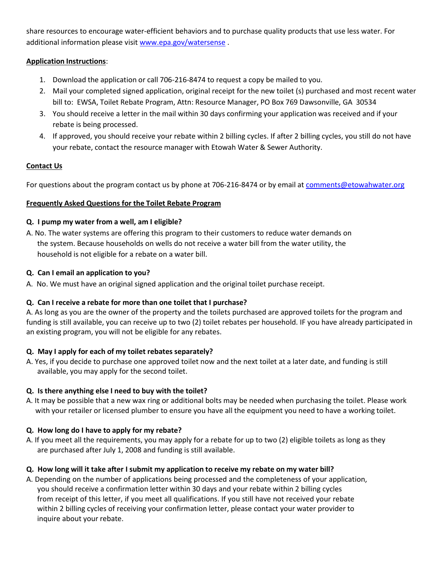share resources to encourage water-efficient behaviors and to purchase quality products that use less water. For additional information please visit [www.epa.gov/watersense](http://www.epa.gov/watersense) .

### **Application Instructions**:

- 1. Download the application or call 706-216-8474 to request a copy be mailed to you.
- 2. Mail your completed signed application, original receipt for the new toilet (s) purchased and most recent water bill to: EWSA, Toilet Rebate Program, Attn: Resource Manager, PO Box 769 Dawsonville, GA 30534
- 3. You should receive a letter in the mail within 30 days confirming your application was received and if your rebate is being processed.
- 4. If approved, you should receive your rebate within 2 billing cycles. If after 2 billing cycles, you still do not have your rebate, contact the resource manager with Etowah Water & Sewer Authority.

## **Contact Us**

For questions about the program contact us by phone at 706-216-8474 or by email at [comments@etowahwater.org](mailto:comments@etowahwater.org)

## **Frequently Asked Questions for the Toilet Rebate Program**

## **Q. I pump my water from a well, am I eligible?**

A. No. The water systems are offering this program to their customers to reduce water demands on the system. Because households on wells do not receive a water bill from the water utility, the household is not eligible for a rebate on a water bill.

## **Q. Can I email an application to you?**

A. No. We must have an original signed application and the original toilet purchase receipt.

## **Q. Can I receive a rebate for more than one toilet that I purchase?**

A. As long as you are the owner of the property and the toilets purchased are approved toilets for the program and funding is still available, you can receive up to two (2) toilet rebates per household. IF you have already participated in an existing program, you will not be eligible for any rebates.

## **Q. May I apply for each of my toilet rebates separately?**

A. Yes, if you decide to purchase one approved toilet now and the next toilet at a later date, and funding is still available, you may apply for the second toilet.

## **Q. Is there anything else I need to buy with the toilet?**

A. It may be possible that a new wax ring or additional bolts may be needed when purchasing the toilet. Please work with your retailer or licensed plumber to ensure you have all the equipment you need to have a working toilet.

## **Q. How long do I have to apply for my rebate?**

A. If you meet all the requirements, you may apply for a rebate for up to two (2) eligible toilets as long as they are purchased after July 1, 2008 and funding is still available.

## Q. How long will it take after I submit my application to receive my rebate on my water bill?

A. Depending on the number of applications being processed and the completeness of your application, you should receive a confirmation letter within 30 days and your rebate within 2 billing cycles from receipt of this letter, if you meet all qualifications. If you still have not received your rebate within 2 billing cycles of receiving your confirmation letter, please contact your water provider to inquire about your rebate.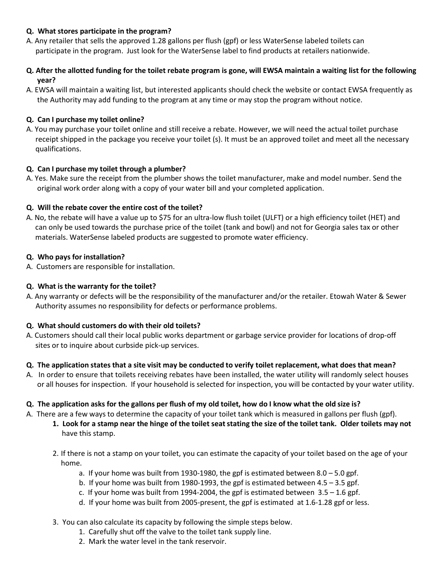### **Q. What stores participate in the program?**

- A. Any retailer that sells the approved 1.28 gallons per flush (gpf) or less WaterSense labeled toilets can participate in the program. Just look for the WaterSense label to find products at retailers nationwide.
- **Q. After the allotted funding for the toilet rebate program is gone, will EWSA maintain a waiting list for the following year?**
- A. EWSA will maintain a waiting list, but interested applicants should check the website or contact EWSA frequently as the Authority may add funding to the program at any time or may stop the program without notice.

### **Q. Can I purchase my toilet online?**

A. You may purchase your toilet online and still receive a rebate. However, we will need the actual toilet purchase receipt shipped in the package you receive your toilet (s). It must be an approved toilet and meet all the necessary qualifications.

#### **Q. Can I purchase my toilet through a plumber?**

A. Yes. Make sure the receipt from the plumber shows the toilet manufacturer, make and model number. Send the original work order along with a copy of your water bill and your completed application.

### **Q. Will the rebate cover the entire cost of the toilet?**

A. No, the rebate will have a value up to \$75 for an ultra-low flush toilet (ULFT) or a high efficiency toilet (HET) and can only be used towards the purchase price of the toilet (tank and bowl) and not for Georgia sales tax or other materials. WaterSense labeled products are suggested to promote water efficiency.

### **Q. Who pays for installation?**

A. Customers are responsible for installation.

### **Q. What is the warranty for the toilet?**

A. Any warranty or defects will be the responsibility of the manufacturer and/or the retailer. Etowah Water & Sewer Authority assumes no responsibility for defects or performance problems.

#### **Q. What should customers do with their old toilets?**

A. Customers should call their local public works department or garbage service provider for locations of drop-off sites or to inquire about curbside pick-up services.

#### Q. The application states that a site visit may be conducted to verify toilet replacement, what does that mean?

A. In order to ensure that toilets receiving rebates have been installed, the water utility will randomly select houses or all houses for inspection. If your household is selected for inspection, you will be contacted by your water utility.

#### Q. The application asks for the gallons per flush of my old toilet, how do I know what the old size is?

- A. There are a few ways to determine the capacity of your toilet tank which is measured in gallons per flush (gpf).
	- 1. Look for a stamp near the hinge of the toilet seat stating the size of the toilet tank. Older toilets may not have this stamp.
	- 2. If there is not a stamp on your toilet, you can estimate the capacity of your toilet based on the age of your home.
		- a. If your home was built from 1930-1980, the gpf is estimated between 8.0 5.0 gpf.
		- b. If your home was built from 1980-1993, the gpf is estimated between 4.5 3.5 gpf.
		- c. If your home was built from 1994-2004, the gpf is estimated between  $3.5 1.6$  gpf.
		- d. If your home was built from 2005-present, the gpf is estimated at 1.6-1.28 gpf or less.
	- 3. You can also calculate its capacity by following the simple steps below.
		- 1. Carefully shut off the valve to the toilet tank supply line.
		- 2. Mark the water level in the tank reservoir.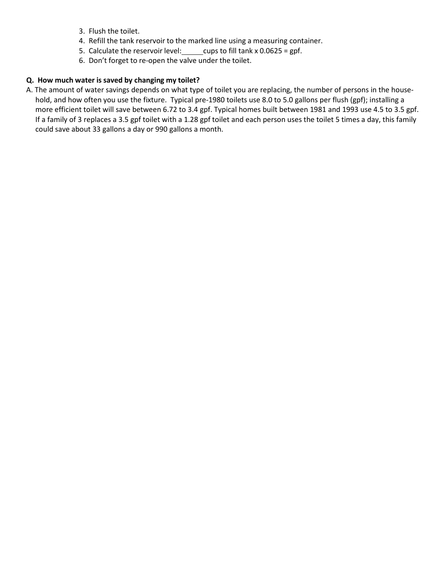- 3. Flush the toilet.
- 4. Refill the tank reservoir to the marked line using a measuring container.
- 5. Calculate the reservoir level: cups to fill tank x  $0.0625 =$  gpf.
- 6. Don't forget to re-open the valve under the toilet.

### **Q. How much water is saved by changing my toilet?**

A. The amount of water savings depends on what type of toilet you are replacing, the number of persons in the household, and how often you use the fixture. Typical pre-1980 toilets use 8.0 to 5.0 gallons per flush (gpf); installing a more efficient toilet will save between 6.72 to 3.4 gpf. Typical homes built between 1981 and 1993 use 4.5 to 3.5 gpf. If a family of 3 replaces a 3.5 gpf toilet with a 1.28 gpf toilet and each person uses the toilet 5 times a day, this family could save about 33 gallons a day or 990 gallons a month.